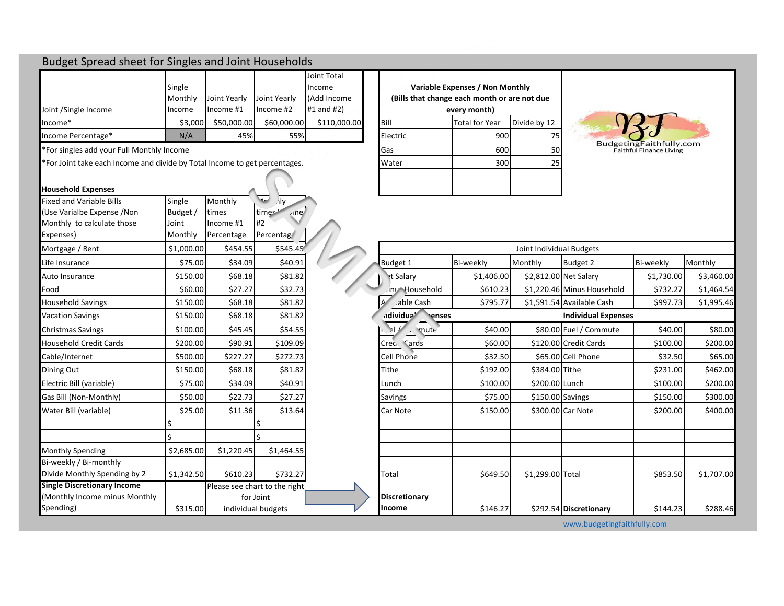## Budget Spread sheet for Singles and Joint Households

|                      |         |              |              | Joint Total    |                                              |                                 |              |
|----------------------|---------|--------------|--------------|----------------|----------------------------------------------|---------------------------------|--------------|
|                      | Single  |              |              | Income         |                                              | Variable Expenses / Non Monthly |              |
|                      | Monthly | Joint Yearly | Joint Yearly | (Add Income    | (Bills that change each month or are not due |                                 |              |
| Joint /Single Income | Income  | Income #1    | llncome #2   | $#1$ and $#2)$ |                                              | every month)                    |              |
| llncome*             | \$3.000 | \$50,000.00  | \$60,000.00  | \$110,000,00   | Bill                                         | Total for Year                  | Divide by 12 |
| Income Percentage*   | N/A     | 45%          | 55%          |                | <b>Electric</b>                              | 900                             | 75           |

\*For singles add your Full Monthly Income Gas 600 50

 $*$  For Joint take each Income and divide by Total Income to get percentages.

### **Household Expenses**

| <b>Fixed and Variable Bills</b>    | Single     | Monthly    | ॼ<br>.ily                     |                      |            |                          |                            |
|------------------------------------|------------|------------|-------------------------------|----------------------|------------|--------------------------|----------------------------|
| (Use Varialbe Expense / Non        | Budget /   | times      | time <sup>c</sup><br>nne      |                      |            |                          |                            |
| Monthly to calculate those         | Joint      | Income #1  | #2                            |                      |            |                          |                            |
| Expenses)                          | Monthly    | Percentage | Percentag                     |                      |            |                          |                            |
| Mortgage / Rent                    | \$1,000.00 | \$454.55   | \$545.45                      |                      |            | Joint Individual Budgets |                            |
| Life Insurance                     | \$75.00    | \$34.09    | \$40.91                       | Budget 1             | Bi-weekly  | Monthly                  | Budget 2                   |
| Auto Insurance                     | \$150.00   | \$68.18    | \$81.82                       | <b>Rt Salary</b>     | \$1,406.00 |                          | \$2,812.00 Net Salary      |
| Food                               | \$60.00    | \$27.27    | \$32.73                       | inu Household        | \$610.23   |                          | \$1,220.46 Minus Household |
| <b>Household Savings</b>           | \$150.00   | \$68.18    | \$81.82                       | able Cash            | \$795.77   |                          | \$1,591.54 Available Cash  |
| <b>Vacation Savings</b>            | \$150.00   | \$68.18    | \$81.82                       | adividua             | enses      |                          | <b>Individual Expenses</b> |
| <b>Christmas Savings</b>           | \$100.00   | \$45.45    | \$54.55                       | el<br>, mute         | \$40.00    |                          | \$80.00 Fuel / Commute     |
| <b>Household Credit Cards</b>      | \$200.00   | \$90.91    | \$109.09                      | Creo. Cards          | \$60.00    |                          | \$120.00 Credit Cards      |
| Cable/Internet                     | \$500.00   | \$227.27   | \$272.73                      | <b>Cell Phone</b>    | \$32.50    |                          | \$65.00 Cell Phone         |
| Dining Out                         | \$150.00   | \$68.18    | \$81.82                       | Tithe                | \$192.00   | \$384.00 Tithe           |                            |
| Electric Bill (variable)           | \$75.00    | \$34.09    | \$40.91                       | Lunch                | \$100.00   | \$200.00 Lunch           |                            |
| Gas Bill (Non-Monthly)             | \$50.00    | \$22.73    | \$27.27                       | Savings              | \$75.00    |                          | \$150.00 Savings           |
| Water Bill (variable)              | \$25.00    | \$11.36    | \$13.64                       | Car Note             | \$150.00   |                          | \$300.00 Car Note          |
|                                    |            |            |                               |                      |            |                          |                            |
|                                    |            |            |                               |                      |            |                          |                            |
| <b>Monthly Spending</b>            | \$2,685.00 | \$1,220.45 | \$1,464.55                    |                      |            |                          |                            |
| Bi-weekly / Bi-monthly             |            |            |                               |                      |            |                          |                            |
| Divide Monthly Spending by 2       | \$1,342.50 | \$610.23   | \$732.27                      | Total                | \$649.50   | \$1,299.00 Total         |                            |
| <b>Single Discretionary Income</b> |            |            | Please see chart to the right |                      |            |                          |                            |
| (Monthly Income minus Monthly      |            |            | for Joint                     | <b>Discretionary</b> |            |                          |                            |
| Spending)                          | \$315.00   |            | individual budgets            | Income               | \$146.27   |                          | \$292.54 Discretionary     |

|          | Variable Expenses / Non Monthly<br>(Bills that change each month or are not due<br>every month) |              |
|----------|-------------------------------------------------------------------------------------------------|--------------|
| Bill     | <b>Total for Year</b>                                                                           | Divide by 12 |
| Electric | 900                                                                                             | 75           |
| Gas      | 600                                                                                             | 50           |
| Water    | 300                                                                                             | 25           |
|          |                                                                                                 |              |
|          |                                                                                                 |              |



| Mortgage / Rent                    | \$1,000.00 | \$454.55           | \$545.45                      |                      |            | Joint Individual Budgets |                            |            |            |
|------------------------------------|------------|--------------------|-------------------------------|----------------------|------------|--------------------------|----------------------------|------------|------------|
| Life Insurance                     | \$75.00    | \$34.09            | \$40.91                       | Budget 1             | Bi-weekly  | Monthly                  | Budget 2                   | Bi-weekly  | Monthly    |
| Auto Insurance                     | \$150.00   | \$68.18            | \$81.82                       | <b>Rt Salary</b>     | \$1,406.00 |                          | \$2,812.00 Net Salary      | \$1,730.00 | \$3,460.00 |
| Food                               | \$60.00    | \$27.27            | \$32.73                       | inu Household        | \$610.23   |                          | \$1,220.46 Minus Household | \$732.27   | \$1,464.54 |
| <b>Household Savings</b>           | \$150.00   | \$68.18            | \$81.82                       | able Cash            | \$795.77   |                          | \$1,591.54 Available Cash  | \$997.73   | \$1,995.46 |
| <b>Vacation Savings</b>            | \$150.00   | \$68.18            | \$81.82                       | ndividua'<br>enses   |            |                          | <b>Individual Expenses</b> |            |            |
| Christmas Savings                  | \$100.00   | \$45.45            | \$54.55                       | el.<br>mute          | \$40.00    |                          | \$80.00 Fuel / Commute     | \$40.00    | \$80.00    |
| <b>Household Credit Cards</b>      | \$200.00   | \$90.91            | \$109.09                      | Creo. Cards          | \$60.00    |                          | \$120.00 Credit Cards      | \$100.00   | \$200.00   |
| Cable/Internet                     | \$500.00   | \$227.27           | \$272.73                      | Cell Phone           | \$32.50    |                          | \$65.00 Cell Phone         | \$32.50    | \$65.00    |
| Dining Out                         | \$150.00   | \$68.18            | \$81.82                       | Tithe                | \$192.00   | \$384.00 Tithe           |                            | \$231.00   | \$462.00   |
| Electric Bill (variable)           | \$75.00    | \$34.09            | \$40.91                       | Lunch                | \$100.00   | \$200.00 Lunch           |                            | \$100.00   | \$200.00   |
| Gas Bill (Non-Monthly)             | \$50.00    | \$22.73            | \$27.27                       | <b>Savings</b>       | \$75.00    | \$150.00 Savings         |                            | \$150.00   | \$300.00   |
| Water Bill (variable)              | \$25.00    | \$11.36            | \$13.64                       | Car Note             | \$150.00   |                          | \$300.00 Car Note          | \$200.00   | \$400.00   |
|                                    |            |                    |                               |                      |            |                          |                            |            |            |
|                                    |            |                    |                               |                      |            |                          |                            |            |            |
| Monthly Spending                   | \$2,685.00 | \$1,220.45         | \$1,464.55                    |                      |            |                          |                            |            |            |
| Bi-weekly / Bi-monthly             |            |                    |                               |                      |            |                          |                            |            |            |
| Divide Monthly Spending by 2       | \$1,342.50 | \$610.23           | \$732.27                      | Total                | \$649.50   | \$1,299.00 Total         |                            | \$853.50   | \$1,707.00 |
| <b>Single Discretionary Income</b> |            |                    | Please see chart to the right |                      |            |                          |                            |            |            |
| (Monthly Income minus Monthly      |            |                    | for Joint                     | <b>Discretionary</b> |            |                          |                            |            |            |
| Spending)                          | \$315.00   | individual budgets |                               | Income               | \$146.27   |                          | \$292.54 Discretionary     | \$144.23   | \$288.46   |

[www.budgetingfaithfully.com](http://www.budgetingfaithfully.com/)